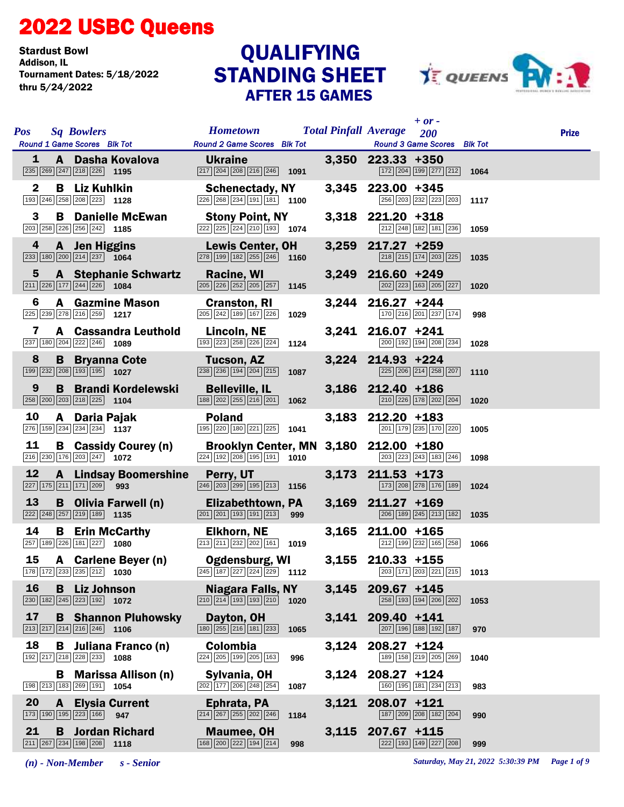## 2022 USBC Queens

Stardust Bowl<br>Addison, IL Tournament Dates: 5/18/2022 thru 5/24/2022

## STANDING SHEET AFTER 15 GAMES **QUALIFYING**



| <b>Sq Bowlers</b><br><b>Pos</b><br>Round 1 Game Scores Blk Tot Round 2 Game Scores Blk Tot                                           | <b>Hometown Total Pinfall Average</b>                                                                                                                             |       | $+$ or -<br>200<br><b>Round 3 Game Scores</b> Blk Tot                                      | <b>Prize</b> |
|--------------------------------------------------------------------------------------------------------------------------------------|-------------------------------------------------------------------------------------------------------------------------------------------------------------------|-------|--------------------------------------------------------------------------------------------|--------------|
| 1<br><b>A Dasha Kovalova</b><br>1247  218  226   1195   22                                                                           | <b>Ukraine</b><br>217 204 208 216 246 1091                                                                                                                        |       | $3,350$ 223.33 +350<br>172 204 199 277 212 1064                                            |              |
| <b>B</b> Liz Kuhlkin<br>2<br>$\boxed{193}$ $\boxed{246}$ $\boxed{258}$ $\boxed{208}$ $\boxed{223}$ 1128                              | <b>Schenectady, NY</b><br>$\overline{226}$ $\overline{268}$ $\overline{234}$ $\overline{191}$ $\overline{181}$ 1100                                               |       | 3,345 223.00 +345<br>256 203 232 223 203                                                   | 1117         |
| 3<br><b>B</b> Danielle McEwan<br>203 258 226 256 242 1185                                                                            | <b>Stony Point, NY</b><br>$\boxed{222}\boxed{225}\boxed{224}\boxed{210}\boxed{193}$ 1074                                                                          |       | 3,318 221.20 +318<br>212 248 182 181 236                                                   | 1059         |
| 4 <sup>1</sup><br>A Jen Higgins<br>$\boxed{233}$ 180 $\boxed{200}$ $\boxed{214}$ $\boxed{237}$ 1064                                  | <b>Lewis Center, OH</b><br>$\boxed{278}$ 199 182 255 246 1160                                                                                                     |       | 3,259 217.27 +259<br>218 215 174 203 225                                                   | 1035         |
| $5 -$<br><b>A</b> Stephanie Schwartz<br>$\boxed{211}$ $\boxed{226}$ $\boxed{177}$ $\boxed{244}$ $\boxed{226}$ <b>1084</b>            | Racine, WI<br>205 226 252 205 257 1145                                                                                                                            |       | 3,249 216.60 +249<br>202 223 163 205 227                                                   | 1020         |
| 6<br><b>A</b> Gazmine Mason<br>225 239 278 216 259 1217                                                                              | <b>Cranston, RI</b><br>$\boxed{205}$ $\boxed{242}$ 189 167 226<br>1029                                                                                            |       | 3,244 216.27 +244<br>$\boxed{170}$ $\boxed{216}$ $\boxed{201}$ $\boxed{237}$ $\boxed{174}$ | 998          |
| 7<br>A Cassandra Leuthold<br>237 180 204 222 246 1089                                                                                | Lincoln, NE<br>$\boxed{193}$ $\boxed{223}$ $\boxed{258}$ $\boxed{226}$ $\boxed{224}$ <b>1124</b>                                                                  |       | 3,241 216.07 +241<br>200 192 194 208 234                                                   | 1028         |
| 8<br><b>B</b> Bryanna Cote <b>Tucson, AZ</b><br>$\boxed{199}$ $\boxed{232}$ $\boxed{208}$ $\boxed{193}$ $\boxed{195}$ <b>1027</b>    |                                                                                                                                                                   |       | $3,224$ 214.93 +224<br>225 206 214 258 207                                                 | 1110         |
| <b>B</b> Brandi Kordelewski<br>9<br>$\boxed{258}$ $\boxed{200}$ $\boxed{203}$ $\boxed{218}$ $\boxed{225}$ 1104                       | <b>Example 15 Belleville, IL</b><br>$\boxed{188}$ $\boxed{202}$ $\boxed{255}$ $\boxed{216}$ $\boxed{201}$ <b>1062</b>                                             |       | 3,186 212.40 +186<br>210 226 178 202 204                                                   | 1020         |
| 10<br>A Daria Pajak<br>276 159 234 234 234 1137                                                                                      | <b>Poland</b><br>195 220 180 221 225 1041                                                                                                                         |       | 3,183 212.20 +183<br>201 179 235 170 220                                                   | 1005         |
| 11<br>$\boxed{216}$ $\boxed{230}$ $\boxed{176}$ $\boxed{203}$ $\boxed{247}$ <b>1072</b>                                              | <b>B</b> Cassidy Courey (n) Brooklyn Center, MN 3,180 212.00 +180<br>$\frac{176}{203 247 }$ 1072 $\frac{224}{192 208 195 191}$ 1010 $\frac{203}{203 223 243 183}$ |       | 203 223 243 183 246                                                                        | 1098         |
| 12<br>A Lindsay Boomershine Perry, UT<br>227 175 211 171 209 993                                                                     | <u>a sa Ba</u><br>246 203 299 195 213 1156                                                                                                                        |       | $3,173$ 211.53 +173<br>173 208 278 176 189                                                 | 1024         |
| 13<br><b>B</b> Olivia Farwell (n) <b>Elizabethtown, PA</b><br>$\frac{1}{257 219 1189 }$ 1135<br>222 248 257 219 189 1135             | 201 201 193 191 213 999                                                                                                                                           |       | 3,169 211.27 +169<br>206 189 245 213 182                                                   | 1035         |
| 14<br><b>B</b> Erin McCarthy<br>257 189 226 181 227 1080                                                                             | <b>Elkhorn, NE</b><br>$213$ $211$ $232$ $202$ 161 1019                                                                                                            |       | 3,165 211.00 +165<br>212 199 232 165 258                                                   | 1066         |
| <b>15 A Carlene Beyer (n) Ogdensburg, WI</b> 3,155 210.33 +155<br>178 $\frac{178}{172}$ 233 $\frac{233}{235}$ $\frac{212}{212}$ 1030 |                                                                                                                                                                   |       |                                                                                            |              |
| <b>16</b><br><b>B</b> Liz Johnson<br>$\boxed{230}$ $\boxed{182}$ $\boxed{245}$ $\boxed{223}$ $\boxed{192}$ <b>1072</b>               | Niagara Falls, NY<br>$\boxed{210}$ $\boxed{214}$ $\boxed{193}$ $\boxed{193}$ $\boxed{210}$<br>1020                                                                | 3,145 | 209.67 +145<br>258 193 194 206 202                                                         | 1053         |
| 17<br><b>B</b> Shannon Pluhowsky<br>$\boxed{213}$ $\boxed{217}$ $\boxed{214}$ $\boxed{216}$ $\boxed{246}$ <b>1106</b>                | Dayton, OH<br>180 255 216 181 233<br>1065                                                                                                                         |       | 3,141 209.40 +141<br>207 196 188 192 187                                                   | 970          |
| 18<br><b>B</b> Juliana Franco (n)<br>192 217 218 228 233 1088                                                                        | <b>Colombia</b><br>224 205 199 205 163<br>996                                                                                                                     | 3,124 | $208.27 + 124$<br>189 158 219 205 269                                                      | 1040         |
| <b>B</b> Marissa Allison (n)<br>198 213 183 269 191 1054                                                                             | Sylvania, OH<br>202 177 206 248 254<br>1087                                                                                                                       | 3,124 | $208.27 + 124$<br>160 195 181 234 213                                                      | 983          |
| 20<br><b>A</b> Elysia Current<br>173 190 195 223 166<br>947                                                                          | Ephrata, PA<br>$\boxed{214}$ $\boxed{267}$ $\boxed{255}$ $\boxed{202}$ $\boxed{246}$<br>1184                                                                      | 3,121 | $208.07 + 121$<br>187 209 208 182 204                                                      | 990          |
| 21<br>Jordan Richard<br>B<br>$\boxed{211}$ $\boxed{267}$ $\boxed{234}$ $\boxed{198}$ $\boxed{208}$ 1118                              | <b>Maumee, OH</b><br>168 200 222 194 214<br>998                                                                                                                   |       | 3,115 207.67 +115<br>222 193 149 227 208                                                   | 999          |

*(n) - Non-Member s - Senior Saturday, May 21, 2022 5:30:39 PM Page 1 of 9*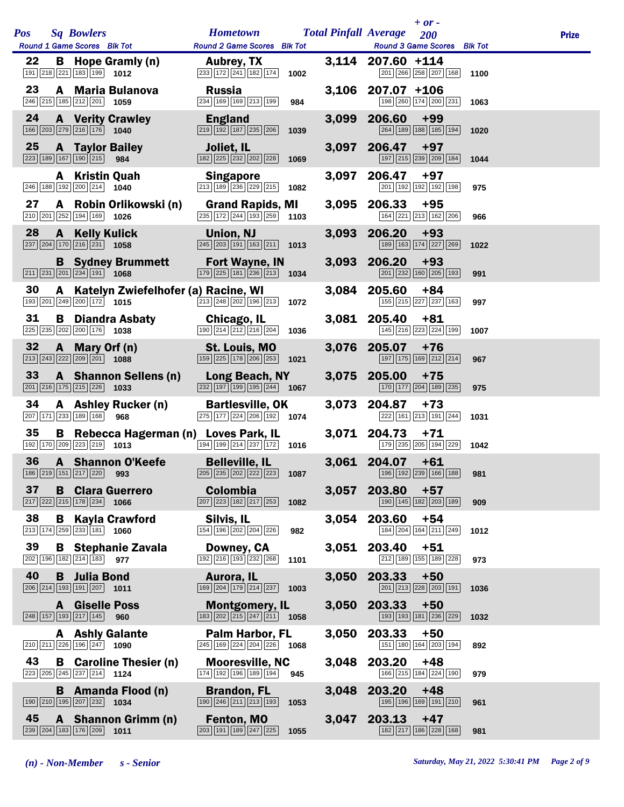| <b>Pos</b> | <b>Sq Bowlers</b><br>Round 1 Game Scores Blk Tot                                                                                     | <b>Hometown Total Pinfall Average</b><br><b>Round 2 Game Scores</b> Blk Tot                                |               | $+$ or $-$<br>200<br><b>Round 3 Game Scores</b> Blk Tot                                                       | <b>Prize</b> |
|------------|--------------------------------------------------------------------------------------------------------------------------------------|------------------------------------------------------------------------------------------------------------|---------------|---------------------------------------------------------------------------------------------------------------|--------------|
| 22         | <b>B</b> Hope Gramly (n)<br>$\boxed{191}$ $\boxed{218}$ $\boxed{221}$ $\boxed{183}$ $\boxed{199}$ <b>1012</b>                        | <b>Aubrey, TX</b><br>$\boxed{233}$ $\boxed{172}$ $\boxed{241}$ $\boxed{182}$ $\boxed{174}$                 | 1002          | 3,114 207.60 +114<br>201 266 258 207 168                                                                      | 1100         |
| 23         | A Maria Bulanova<br>$\boxed{246}$ $\boxed{215}$ $\boxed{185}$ $\boxed{212}$ $\boxed{201}$ <b>1059</b>                                | <b>Russia</b><br>234 169 169 213 199                                                                       | 984           | 3,106 207.07 +106<br>198 260 174 200 231                                                                      | 1063         |
| 24         | <b>A</b> Verity Crawley<br>166 203 279 216 176 1040                                                                                  | <b>England</b><br>219 192 187 235 206                                                                      | 1039          | 3,099 206.60<br>$+99$<br>264 189 188 185 194                                                                  | 1020         |
| 25         | <b>A</b> Taylor Bailey<br>223 189 167 190 215<br>984                                                                                 | Joliet, IL<br>182 225 232 202 228 1069                                                                     |               | 3,097 206.47 +97<br>197 215 239 209 184                                                                       | 1044         |
|            | A Kristin Quah<br>$\boxed{246}$ 188 192 200 214 1040                                                                                 | <b>Singapore</b><br>213 189 236 229 215                                                                    | 1082          | 3,097 206.47<br>$+97$<br>201 192 192 192 198                                                                  | 975          |
| 27         | A Robin Orlikowski (n)<br>$\boxed{210}$ $\boxed{201}$ $\boxed{252}$ $\boxed{194}$ $\boxed{169}$ <b>1026</b>                          | <b>Grand Rapids, MI</b><br>235 172 244 193 259                                                             | 1103          | 3,095 206.33<br>$+95$<br>164 221 213 162 206                                                                  | 966          |
| 28         | A Kelly Kulick<br>$\boxed{237}$ $\boxed{204}$ $\boxed{170}$ $\boxed{216}$ $\boxed{231}$ <b>1058</b>                                  | Union, NJ<br>$\boxed{245}$ $\boxed{203}$ $\boxed{191}$ $\boxed{163}$ $\boxed{211}$ <b>1013</b>             |               | 3,093 206.20<br>$+93$<br>189 163 174 227 269                                                                  | 1022         |
|            | <b>B</b> Sydney Brummett<br>$\boxed{211}$ $\boxed{231}$ $\boxed{201}$ $\boxed{234}$ $\boxed{191}$ <b>1068</b>                        | <b>Fort Wayne, IN</b><br>$\boxed{179}$ $\boxed{225}$ $\boxed{181}$ $\boxed{236}$ $\boxed{213}$ <b>1034</b> |               | 3,093 206.20<br>$+93$<br>$\boxed{201}$ $\boxed{232}$ $\boxed{160}$ $\boxed{205}$ $\boxed{193}$                | 991          |
| 30         | A Katelyn Zwiefelhofer (a) Racine, WI<br>$\boxed{193}$ $\boxed{201}$ $\boxed{249}$ $\boxed{200}$ $\boxed{172}$ <b>1015</b>           | $\boxed{213}\boxed{248}\boxed{202}\boxed{196}\boxed{213}$                                                  | 1072          | 3,084 205.60<br>$+84$<br>155 215 227 237 163                                                                  | 997          |
| 31         | <b>B</b> Diandra Asbaty<br>225 235 202 200 176 1038                                                                                  | Chicago, IL<br>190 214 212 216 204                                                                         | 1036          | $3,081$ 205.40 +81<br>145 216 223 224 199                                                                     | 1007         |
| 32         | A Mary Orf (n)<br>$\boxed{213}$ $\boxed{243}$ $\boxed{222}$ $\boxed{209}$ $\boxed{201}$ <b>1088</b>                                  | St. Louis, MO<br>159 225 178 206 253                                                                       | 1021          | 3,076 205.07<br>$+76$<br>197 175 169 212 214                                                                  | 967          |
| 33         | A Shannon Sellens (n)<br>$\boxed{201}$ $\boxed{216}$ $\boxed{175}$ $\boxed{215}$ $\boxed{226}$ <b>1033</b>                           | Long Beach, NY<br>$\overline{232}$ 197 199 195 244 1067                                                    |               | 3,075 205.00<br>$+75$<br>170 177 204 189 235                                                                  | 975          |
| 34         | A Ashley Rucker (n)<br>207 171 233 189 168 968                                                                                       | <b>Bartlesville, OK</b><br>275 177 224 206 192 1074                                                        |               | 3,073 204.87<br>$+73$<br>222 161 213 191 244                                                                  | 1031         |
| 35         | Rebecca Hagerman (n) Loves Park, IL<br>B<br>192 170 209 223 219 1013                                                                 | $194 199 214 237 172$ 1016                                                                                 |               | 3,071 204.73<br>$+71$<br>179 235 205 194 229 1042                                                             |              |
| 36         | A Shannon O'Keefe<br>186 219 151 217 220 993                                                                                         | <b>Belleville, IL</b>                                                                                      |               | $3,061$ 204.07 +61<br>$\boxed{205}$ $\boxed{202}$ $\boxed{222}$ $\boxed{223}$ <b>1087</b> 196 192 239 166 188 | 981          |
| 37         | <b>B</b> Clara Guerrero<br>217 222 215 178 234 1066                                                                                  | <b>Colombia</b><br>207 223 182 217 253                                                                     | 3,057<br>1082 | 203.80<br>$+57$<br>190 145 182 203 189                                                                        | 909          |
| 38         | B<br><b>Kayla Crawford</b><br>$\boxed{213}$ 174 259 233 181<br>1060                                                                  | Silvis, IL<br>154 196 202 204 226                                                                          | 3,054<br>982  | 203.60<br>$+54$<br>184 204 164 211 249                                                                        | 1012         |
| 39         | <b>B</b> Stephanie Zavala<br>202 196 182 214 183 977                                                                                 | Downey, CA<br>$\boxed{192}$ $\boxed{216}$ $\boxed{193}$ $\boxed{232}$ $\boxed{268}$                        | 3,051<br>1101 | 203.40<br>$+51$<br>212 189 155 189 228                                                                        | 973          |
| 40         | <b>B</b> Julia Bond<br>$\boxed{206}$ $\boxed{214}$ $\boxed{193}$ $\boxed{191}$ $\boxed{207}$ <b>1011</b>                             | Aurora, IL<br>169 204 179 214 237                                                                          | 3,050<br>1003 | 203.33<br>$+50$<br>201 213 228 203 191                                                                        | 1036         |
|            | A Giselle Poss<br>248 157 193 217 145<br>960                                                                                         | <b>Montgomery, IL</b><br>$\boxed{183}\boxed{202}\boxed{215}\boxed{247}\boxed{211}$ 1058                    |               | 3,050 203.33<br>$+50$<br>193 193 181 236 229                                                                  | 1032         |
|            | <b>A</b> Ashly Galante<br>$\boxed{210}$ $\boxed{211}$ $\boxed{226}$ $\boxed{196}$ $\boxed{247}$ <b>1090</b>                          | <b>Palm Harbor, FL</b><br>245 169 224 204 226                                                              | 3,050<br>1068 | 203.33<br>$+50$<br>151 180 164 203 194                                                                        | 892          |
| 43         | <b>B</b> Caroline Thesier (n)<br>$\begin{array}{ c c c c c c c c }\n\hline\n223 & 205 & 245 & 237 & 214 & \textbf{1124} \end{array}$ | <b>Mooresville, NC</b><br>174 192 196 189 194                                                              | 3,048<br>945  | 203.20<br>$+48$<br>166 215 184 224 190                                                                        | 979          |
|            | <b>B</b> Amanda Flood (n)<br>190 210 195 207 232<br>1034                                                                             | <b>Brandon, FL</b><br>190 246 211 213 193                                                                  | 3,048<br>1053 | 203.20<br>$+48$<br>195 196 169 191 210                                                                        | 961          |
| 45         | A Shannon Grimm (n)<br>239 204 183 176 209<br>1011                                                                                   | Fenton, MO<br>203 191 189 247 225                                                                          | 3,047<br>1055 | 203.13<br>$+47$<br>182 217 186 228 168                                                                        | 981          |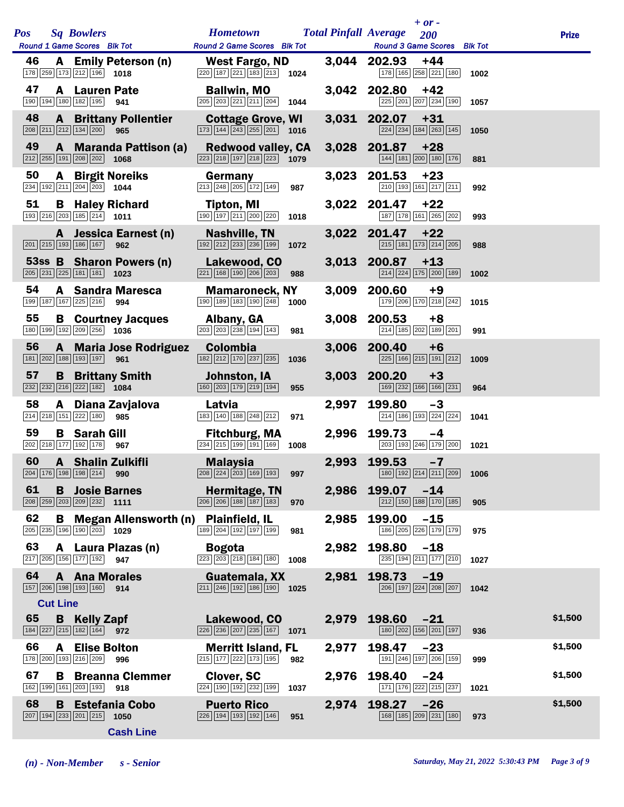| <b>Pos</b> | <b>Sq Bowlers</b><br>Round 1 Game Scores Blk Tot                                                                   | <b>Hometown</b><br>Round 2 Game Scores Blk Tot                                                                | <b>Total Pinfall Average</b> | $+$ or $-$<br>200<br>Round 3 Game Scores Blk Tot                                               |      | <b>Prize</b> |
|------------|--------------------------------------------------------------------------------------------------------------------|---------------------------------------------------------------------------------------------------------------|------------------------------|------------------------------------------------------------------------------------------------|------|--------------|
| 46         | A Emily Peterson (n)<br>178 259 173 212 196 1018                                                                   | <b>West Fargo, ND</b><br>220 187 221 183 213 1024                                                             |                              | 3,044 202.93<br>$+44$<br>178 165 258 221 180                                                   | 1002 |              |
| 47         | A Lauren Pate<br>190 194 180 182 195 941                                                                           | <b>Ballwin, MO</b>                                                                                            |                              | 3,042 202.80<br>$+42$<br>225 201 207 234 190                                                   | 1057 |              |
| 48         | <b>A</b> Brittany Pollentier<br>208 211 212 134 200 965                                                            | <b>Cottage Grove, WI</b><br>$\boxed{173}$ $\boxed{144}$ $\boxed{243}$ $\boxed{255}$ $\boxed{201}$ <b>1016</b> |                              | 3,031 202.07<br>$+31$<br>224 234 184 263 145                                                   | 1050 |              |
| 49         | A Maranda Pattison (a)<br>$\boxed{212}$ $\boxed{255}$ $\boxed{191}$ $\boxed{208}$ $\boxed{202}$ <b>1068</b>        | <b>Redwood valley, CA</b><br>223 218 197 218 223 1079                                                         |                              | 3,028 201.87<br>$+28$<br>144 181 200 180 176                                                   | 881  |              |
| 50         | <b>A</b> Birgit Noreiks<br>234 192 211 204 203 1044                                                                | Germany<br>213 248 205 172 149<br>987                                                                         |                              | 3,023 201.53<br>$+23$<br>210 193 161 217 211                                                   | 992  |              |
| 51         | <b>B</b> Haley Richard<br>$\boxed{193}$ $\boxed{216}$ $\boxed{203}$ $\boxed{185}$ $\boxed{214}$ <b>1011</b>        | Tipton, MI<br>190 197 211 200 220<br>1018                                                                     |                              | 3,022 201.47<br>$+22$<br>187 178 161 265 202                                                   | 993  |              |
|            | A Jessica Earnest (n)<br>$\boxed{201}$ $\boxed{215}$ $\boxed{193}$ $\boxed{186}$ $\boxed{167}$ 962                 | Nashville, TN<br>$\boxed{192}$ $\boxed{212}$ $\boxed{233}$ $\boxed{236}$ $\boxed{199}$<br>1072                |                              | 3,022 201.47<br>$+22$<br>215 181 173 214 205                                                   | 988  |              |
|            | 53ss B Sharon Powers (n)<br>205 231 225 181 181 1023                                                               | Lakewood, CO<br>$\boxed{221}$ $\boxed{168}$ $\boxed{190}$ $\boxed{206}$ $\boxed{203}$<br>988                  |                              | 3,013 200.87<br>$+13$<br>214 224 175 200 189                                                   | 1002 |              |
| 54         | <b>A</b> Sandra Maresca<br>199 187 167 225 216 994                                                                 | <b>Mamaroneck, NY</b><br>190 189 183 190 248<br>1000                                                          | 3,009                        | 200.60<br>$+9$<br>179 206 170 218 242                                                          | 1015 |              |
| 55         | <b>B</b> Courtney Jacques<br>180 199 192 209 256 1036                                                              | Albany, GA<br>203 203 238 194 143<br>981                                                                      |                              | 3,008 200.53<br>$+8$<br>214 185 202 189 201                                                    | 991  |              |
| 56         | <b>A</b> Maria Jose Rodriguez<br>181 202 188 193 197 961                                                           | Colombia<br>182 212 170 237 235<br>1036                                                                       |                              | 3,006 200.40<br>$+6$<br>225 166 215 191 212                                                    | 1009 |              |
| 57         | <b>B</b> Brittany Smith<br>232 232 216 222 182 1084                                                                | Johnston, IA<br>160 203 179 219 194<br>955                                                                    |                              | 3,003 200.20<br>$+3$<br>169 232 166 166 231                                                    | 964  |              |
| 58         | A Diana Zavjalova<br>214 218 151 222 180 985                                                                       | Latvia<br>183 140 188 248 212<br>971                                                                          | 2,997                        | 199.80<br>$-3$<br>214 186 193 224 224                                                          | 1041 |              |
| 59         | <b>B</b> Sarah Gill<br>202 218 177 192 178 967                                                                     | <b>Fitchburg, MA</b><br>234 215 199 191 169 1008                                                              | 2,996                        | 199.73<br>-4<br>203 193 246 179 200                                                            | 1021 |              |
| 60         | <b>A</b> Shalin Zulkifli<br>204 176 198 198 214 990                                                                | <b>Malaysia</b><br>208 224 203 169 193 997                                                                    | 2,993                        | 199.53<br>$-7$<br>180 192 214 211 209 1006                                                     |      |              |
| 61         | <b>B</b> Josie Barnes<br>208 259 203 209 232 1111                                                                  | Hermitage, TN<br>$\boxed{206}$ $\boxed{206}$ $\boxed{188}$ $\boxed{187}$ $\boxed{183}$<br>970                 |                              | 2,986 199.07<br>$-14$<br>$\boxed{212}$ $\boxed{150}$ $\boxed{188}$ $\boxed{170}$ $\boxed{185}$ | 905  |              |
| 62         | <b>B</b> Megan Allensworth (n)<br>205 235 196 190 203 1029                                                         | <b>Plainfield, IL</b><br>189 204 192 197 199<br>981                                                           | 2,985                        | 199.00<br>$-15$<br>186 205 226 179 179                                                         | 975  |              |
| 63         | A Laura Plazas (n)<br>217 205 156 177 192 947                                                                      | <b>Bogota</b><br>223 203 218 184 180<br>1008                                                                  | 2,982                        | 198.80<br>$-18$<br>235 194 211 177 210                                                         | 1027 |              |
| 64         | <b>A</b> Ana Morales<br>157 206 198 193 160<br>914                                                                 | Guatemala, XX<br>$\boxed{211}\boxed{246}\boxed{192}\boxed{186}\boxed{190}$ 1025                               | 2,981                        | 198.73<br>$-19$<br>206 197 224 208 207                                                         | 1042 |              |
|            | <b>Cut Line</b>                                                                                                    |                                                                                                               |                              |                                                                                                |      |              |
| 65         | <b>B</b> Kelly Zapf<br>184 227 215 182 164 972                                                                     | Lakewood, CO<br>226 236 207 235 167<br>1071                                                                   | 2,979                        | 198.60<br>$-21$<br>180 202 156 201 197                                                         | 936  | \$1,500      |
| 66         | <b>Elise Bolton</b><br>A<br>178 200 193 216 209<br>996                                                             | <b>Merritt Island, FL</b><br>215 177 222 173 195<br>982                                                       | 2,977                        | 198.47<br>$-23$<br>191 246 197 206 159                                                         | 999  | \$1,500      |
| 67         | <b>Breanna Clemmer</b><br>В<br>162 199 161 203 193<br>918                                                          | <b>Clover, SC</b><br>224 190 192 232 199<br>1037                                                              | 2,976                        | 198.40<br>$-24$<br>171 176 222 215 237                                                         | 1021 | \$1,500      |
| 68         | <b>Estefania Cobo</b><br>B<br>$\boxed{207}$ 194 $\boxed{233}$ $\boxed{201}$ $\boxed{215}$ 1050<br><b>Cash Line</b> | <b>Puerto Rico</b><br>226 194 193 192 146<br>951                                                              | 2,974                        | 198.27<br>$-26$<br>168 185 209 231 180                                                         | 973  | \$1,500      |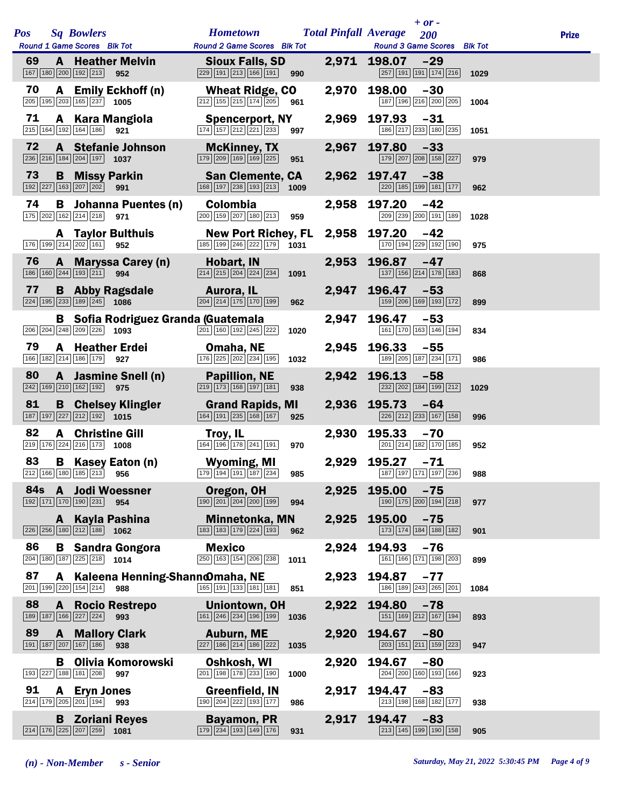|     |              |                                                                                                                                 |                                                                                                     |       | $+ or -$                                                           |      |              |
|-----|--------------|---------------------------------------------------------------------------------------------------------------------------------|-----------------------------------------------------------------------------------------------------|-------|--------------------------------------------------------------------|------|--------------|
| Pos |              | <b>Sq Bowlers</b><br>Round 1 Game Scores Blk Tot                                                                                | <b>Hometown</b><br>Round 2 Game Scores Blk Tot                                                      |       | <b>Total Pinfall Average</b><br>200<br>Round 3 Game Scores Blk Tot |      | <b>Prize</b> |
| 69  |              | <b>A</b> Heather Melvin<br>167 180 200 192 213<br>952                                                                           | <b>Sioux Falls, SD</b><br>$\boxed{229}$ 191 $\boxed{213}$ 166 191 990                               |       | 2,971 198.07<br>$-29$<br>257 191 191 174 216                       | 1029 |              |
| 70  |              | A Emily Eckhoff (n)<br>205 195 203 165 237 1005                                                                                 | <b>Wheat Ridge, CO</b><br>$212$ 155 215 174 205 961                                                 | 2,970 | 198.00<br>$-30$<br>187 196 216 200 205                             | 1004 |              |
| 71  |              | A Kara Mangiola<br>215 164 192 164 186 921                                                                                      | <b>Spencerport, NY</b><br>$\boxed{174}$ $\boxed{157}$ $\boxed{212}$ $\boxed{221}$ $\boxed{233}$ 997 | 2,969 | 197.93<br>$-31$<br>186 217 233 180 235                             | 1051 |              |
| 72  |              | A Stefanie Johnson<br>$\overline{236}$ $\overline{216}$ 184 $\overline{204}$ 197 1037                                           | <b>McKinney, TX</b><br>179 209 169 169 225<br>951                                                   | 2,967 | 197.80<br>$-33$<br>179 207 208 158 227                             | 979  |              |
| 73  |              | <b>B</b> Missy Parkin<br>192 227 163 207 202<br>991                                                                             | <b>San Clemente, CA</b><br>168 197 238 193 213<br>1009                                              |       | 2,962 197.47<br>$-38$<br>220 185 199 181 177                       | 962  |              |
| 74  |              | <b>B</b> Johanna Puentes (n)<br>175 202 162 214 218<br>971                                                                      | Colombia<br>200 159 207 180 213<br>959                                                              | 2,958 | 197.20<br>$-42$<br>209 239 200 191 189                             | 1028 |              |
|     |              | <b>A</b> Taylor Bulthuis<br>176 199 214 202 161<br>952                                                                          | <b>New Port Richey, FL</b><br>185 199 246 222 179 1031                                              |       | 2,958 197.20<br>$-42$<br>170 194 229 192 190                       | 975  |              |
| 76  |              | A Maryssa Carey (n)<br>186 160 244 193 211 994                                                                                  | Hobart, IN<br>$\boxed{214}$ $\boxed{215}$ $\boxed{204}$ $\boxed{224}$ $\boxed{234}$<br>1091         | 2,953 | 196.87<br>$-47$<br>137 156 214 178 183                             | 868  |              |
| 77  |              | <b>B</b> Abby Ragsdale<br>224 195 233 189 245 1086                                                                              | <b>Aurora, IL</b><br>204 214 175 170 199<br>962                                                     | 2,947 | 196.47<br>$-53$<br>159 206 169 193 172                             | 899  |              |
|     |              | <b>B</b> Sofia Rodriguez Granda (Guatemala<br>$\boxed{206}$ $\boxed{204}$ $\boxed{248}$ $\boxed{209}$ $\boxed{226}$ <b>1093</b> | 201 160 192 245 222<br>1020                                                                         | 2,947 | 196.47<br>$-53$<br>161 170 163 146 194                             | 834  |              |
| 79  |              | <b>A</b> Heather Erdei<br>166 182 214 186 179 927                                                                               | Omaha, NE<br>176 225 202 234 195<br>1032                                                            | 2,945 | 196.33<br>$-55$<br>189 205 187 234 171                             | 986  |              |
| 80  |              | A Jasmine Snell (n)<br>242 169 210 162 192<br>975                                                                               | <b>Papillion, NE</b><br>219 173 168 197 181<br>938                                                  | 2,942 | 196.13<br>$-58$<br>232 202 184 199 212                             | 1029 |              |
| 81  |              | <b>B</b> Chelsey Klingler<br>187 197 227 212 192 1015                                                                           | <b>Grand Rapids, MI</b><br>164 191 235 168 167<br>925                                               |       | 2,936 195.73<br>$-64$<br>226 212 233 167 158                       | 996  |              |
| 82  | A            | <b>Christine Gill</b><br>$\boxed{219}$ $\boxed{176}$ $\boxed{224}$ $\boxed{216}$ $\boxed{173}$ <b>1008</b>                      | Troy, IL<br>164 196 178 241 191<br>970                                                              | 2,930 | 195.33<br>$-70$<br>201 214 182 170 185                             | 952  |              |
| 83  |              | <b>B</b> Kasey Eaton (n)<br>$212$ 166 180 185 213 956                                                                           | Wyoming, MI<br>179 194 191 187 234 985                                                              | 2,929 | $195.27 -71$<br>187 197 171 197 236 988                            |      |              |
|     |              | 84s A Jodi Woessner<br>192 171 170 190 231<br>954                                                                               | Oregon, OH<br>$\boxed{190}\boxed{201}\boxed{204}\boxed{200}\boxed{199}$<br>994                      | 2,925 | 195.00<br>$-75$<br>190 175 200 194 218                             | 977  |              |
|     | A            | <b>Kayla Pashina</b><br>$\boxed{226}$ $\boxed{256}$ $\boxed{180}$ $\boxed{212}$ $\boxed{188}$<br>1062                           | <b>Minnetonka, MN</b><br>183 183 179 224 193<br>962                                                 | 2,925 | 195.00<br>$-75$<br>173 174 184 188 182                             | 901  |              |
| 86  |              | <b>B</b> Sandra Gongora<br>$\boxed{204}$ 180 187 225 218 1014                                                                   | <b>Mexico</b><br>250 163 154 206 238<br>1011                                                        | 2,924 | 194.93<br>$-76$<br>161 166 171 198 203                             | 899  |              |
| 87  |              | A Kaleena Henning-Shannomaha, NE<br>201 199 220 154 214<br>988                                                                  | 165 191 133 181 181<br>851                                                                          | 2,923 | 194.87<br>$-77$<br>186 189 243 265 201                             | 1084 |              |
| 88  | $\mathbf{A}$ | <b>Rocio Restrepo</b><br>189 187 166 227 224<br>993                                                                             | <b>Uniontown, OH</b><br>161 246 234 196 199<br>1036                                                 | 2,922 | 194.80<br>$-78$<br>151 169 212 167 194                             | 893  |              |
| 89  |              | <b>A</b> Mallory Clark<br>191 187 207 167 186<br>938                                                                            | <b>Auburn, ME</b><br>227 186 214 186 222<br>1035                                                    | 2,920 | 194.67<br>$-80$<br>203 151 211 159 223                             | 947  |              |
|     |              | <b>B</b> Olivia Komorowski<br>193 227 188 181 208<br>997                                                                        | Oshkosh, WI<br>201 198 178 233 190<br>1000                                                          | 2,920 | 194.67<br>$-80$<br>204 200 160 193 166                             | 923  |              |
| 91  |              | A Eryn Jones<br>214 179 205 201 194<br>993                                                                                      | <b>Greenfield, IN</b><br>190 204 222 193 177<br>986                                                 | 2,917 | 194.47<br>$-83$<br>213 198 168 182 177                             | 938  |              |
|     |              | <b>B</b> Zoriani Reyes<br>214 176 225 207 259<br>1081                                                                           | <b>Bayamon, PR</b><br>179 234 193 149 176<br>931                                                    | 2,917 | 194.47<br>$-83$<br>213 145 199 190 158                             | 905  |              |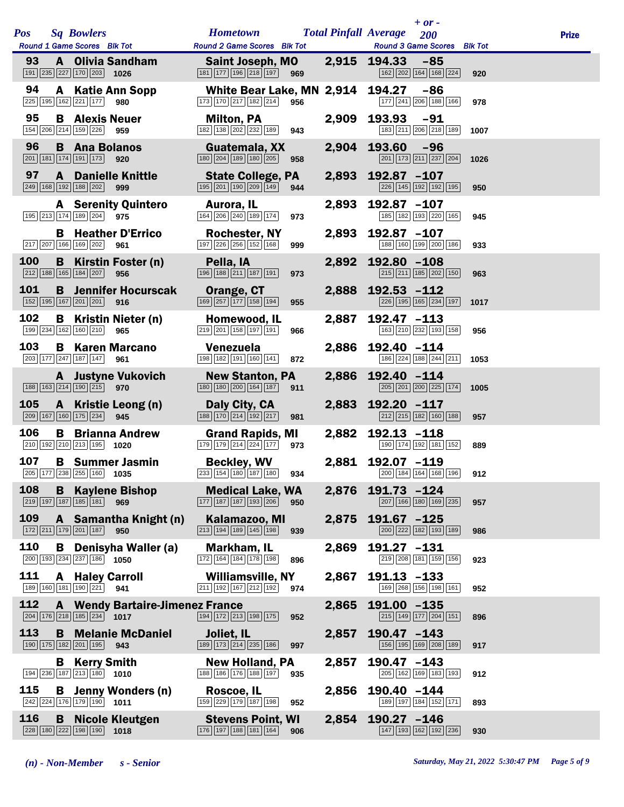|            |                                                                                                     |                                                                                                                  |       | $+$ or -                                     |              |
|------------|-----------------------------------------------------------------------------------------------------|------------------------------------------------------------------------------------------------------------------|-------|----------------------------------------------|--------------|
| <b>Pos</b> | <b>Sq Bowlers</b>                                                                                   | <b>Hometown</b>                                                                                                  |       | <b>Total Pinfall Average</b><br>200          | <b>Prize</b> |
|            | Round 1 Game Scores Blk Tot                                                                         | Round 2 Game Scores Blk Tot                                                                                      |       | Round 3 Game Scores Blk Tot                  |              |
| 93         | A Olivia Sandham<br>191 235 227 170 203 1026                                                        | Saint Joseph, MO<br>181 177 196 218 197<br>969                                                                   |       | 2,915 194.33<br>$-85$<br>162 202 164 168 224 | 920          |
| 94         | <b>A</b> Katie Ann Sopp<br>225 195 162 221 177<br>980                                               | White Bear Lake, MN 2,914 194.27<br>$\boxed{173}$ $\boxed{170}$ $\boxed{217}$ $\boxed{182}$ $\boxed{214}$<br>956 |       | $-86$<br>177 241 206 188 166                 | 978          |
| 95         | <b>B</b> Alexis Neuer<br>154 206 214 159 226 959                                                    | <b>Milton, PA</b><br>182 138 202 232 189<br>943                                                                  | 2,909 | 193.93<br>$-91$<br>183 211 206 218 189       | 1007         |
| 96         | <b>B</b> Ana Bolanos<br>$\boxed{201}$ 181 174 191 173 920                                           | Guatemala, XX<br>180 204 189 180 205<br>958                                                                      | 2,904 | 193.60<br>$-96$<br>201 173 211 237 204       | 1026         |
| 97         | $\mathbf{A}$<br><b>Danielle Knittle</b><br>249 168 192 188 202 999                                  | <b>State College, PA</b><br>195 201 190 209 149<br>944                                                           |       | 2,893 192.87 -107<br>226 145 192 192 195     | 950          |
|            | <b>A</b> Serenity Quintero<br>195 213 174 189 204 975                                               | Aurora, IL<br>164 206 240 189 174<br>973                                                                         | 2,893 | $192.87 - 107$<br>185 182 193 220 165        | 945          |
|            | <b>B</b> Heather D'Errico<br>217 207 166 169 202<br>961                                             | <b>Rochester, NY</b><br>197 226 256 152 168<br>999                                                               | 2,893 | 192.87 -107<br>188 160 199 200 186           | 933          |
| 100        | <b>B</b> Kirstin Foster (n)<br>$\boxed{212}$ 188 165 184 207 956                                    | Pella, IA<br>196 188 211 187 191<br>973                                                                          | 2,892 | 192.80 -108<br>215 211 185 202 150           | 963          |
| 101        | <b>B</b> Jennifer Hocurscak<br>152 195 167 201 201<br>916                                           | Orange, CT<br>$\boxed{169}$ $\boxed{257}$ $\boxed{177}$ $\boxed{158}$ $\boxed{194}$<br>955                       |       | 2,888 192.53 -112<br>226 195 165 234 197     | 1017         |
| 102        | <b>B</b> Kristin Nieter (n)<br>199 234 162 160 210<br>965                                           | Homewood, IL<br>219 201 158 197 191<br>966                                                                       | 2,887 | $192.47 - 113$<br>163 210 232 193 158        | 956          |
| 103        | <b>B</b> Karen Marcano<br>203 177 247 187 147<br>961                                                | Venezuela<br>198 182 191 160 141<br>872                                                                          | 2,886 | 192.40 -114<br>186 224 188 244 211           | 1053         |
|            | <b>A</b> Justyne Vukovich<br>188 163 214 190 215 970                                                | <b>New Stanton, PA</b><br>180 180 200 164 187<br>911                                                             | 2,886 | $192.40 -114$<br>205 201 200 225 174         | 1005         |
| 105        | A Kristie Leong (n)<br>209 167 160 175 234<br>945                                                   | Daly City, CA<br>188 170 214 192 217<br>981                                                                      | 2,883 | 192.20 -117<br>212 215 182 160 188           | 957          |
| 106        | <b>B</b> Brianna Andrew<br>210 192 210 213 195 1020                                                 | <b>Grand Rapids, MI</b><br>179 179 214 224 177<br>973                                                            | 2,882 | $192.13 - 118$<br>190 174 192 181 152        | 889          |
| 107        | <b>B</b> Summer Jasmin<br>205 177 238 255 160 1035                                                  | <b>Beckley, WV</b><br>233 154 180 187 180<br>934                                                                 | 2,881 | 192.07 -119<br>200 184 164 168 196           | 912          |
| 108        | <b>Kaylene Bishop</b><br>B.<br>$\boxed{219}$ 197 187 185 181 969                                    | <b>Medical Lake, WA</b><br>177 187 187 193 206<br>950                                                            | 2,876 | $191.73 - 124$<br>207 166 180 169 235        | 957          |
| 109        | A Samantha Knight (n)<br>172 211 179 201 187 950                                                    | Kalamazoo, MI<br>$\boxed{213}$ $\boxed{194}$ $\boxed{189}$ $\boxed{145}$ $\boxed{198}$<br>939                    | 2,875 | 191.67 -125<br>200 222 182 193 189           | 986          |
| 110        | Denisyha Waller (a)<br>B<br>$\boxed{200}$ 193 234 237 186 1050                                      | Markham, IL<br>172 164 184 178 198<br>896                                                                        | 2,869 | 191.27 -131<br>219 208 181 159 156           | 923          |
| 111        | <b>A</b> Haley Carroll<br>$\boxed{189}$ $\boxed{160}$ $\boxed{181}$ $\boxed{190}$ $\boxed{221}$ 941 | Williamsville, NY<br>211 192 167 212 192<br>974                                                                  | 2,867 | $191.13 - 133$<br>169 268 156 198 161        | 952          |
| 112        | <b>A</b> Wendy Bartaire-Jimenez France<br>$\boxed{204}$ 176 218 185 234 1017                        | 194 172 213 198 175<br>952                                                                                       | 2,865 | 191.00 -135<br>215 149 177 204 151           | 896          |
| 113        | <b>Melanie McDaniel</b><br>B<br>190 175 182 201 195 943                                             | Joliet, IL<br>189 173 214 235 186<br>997                                                                         | 2,857 | $190.47 - 143$<br>156 195 169 208 189        | 917          |
|            | <b>Kerry Smith</b><br>B<br>194 236 187 213 180 1010                                                 | <b>New Holland, PA</b><br>188 186 176 188 197<br>935                                                             | 2,857 | 190.47 -143<br>205 162 169 183 193           | 912          |
| 115        | <b>B</b> Jenny Wonders (n)<br>$\boxed{242}$ $\boxed{224}$ 176 179 190 1011                          | Roscoe, IL<br>159 229 179 187 198<br>952                                                                         | 2,856 | 190.40 -144<br>189 197 184 152 171           | 893          |
| 116        | <b>Nicole Kleutgen</b><br>B<br>$\boxed{228}$ 180 222 198 190 1018                                   | <b>Stevens Point, WI</b><br>176 197 188 181 164<br>906                                                           | 2,854 | 190.27 -146<br>147 193 162 192 236           | 930          |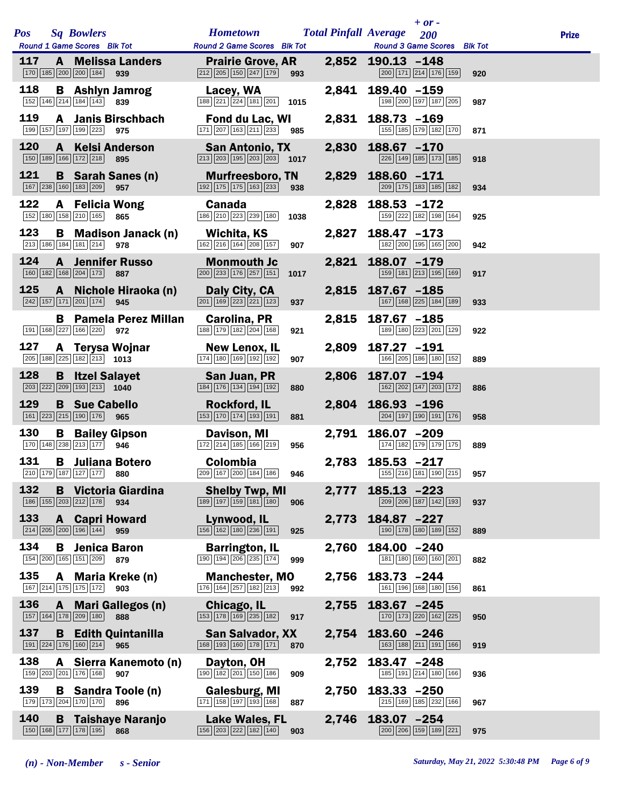| <b>Pos</b> |   | <b>Sq Bowlers</b><br>Round 1 Game Scores Blk Tot                                  |                                     | <b>Hometown</b><br><b>Round 2 Game Scores</b> Blk Tot                                                       |      |       | $+$ or $-$<br><b>Total Pinfall Average</b><br>200<br><b>Round 3 Game Scores</b> Blk Tot |     | <b>Prize</b> |
|------------|---|-----------------------------------------------------------------------------------|-------------------------------------|-------------------------------------------------------------------------------------------------------------|------|-------|-----------------------------------------------------------------------------------------|-----|--------------|
| 117        |   | 170 185 200 200 184                                                               | <b>A</b> Melissa Landers<br>939     | <b>Prairie Grove, AR</b><br>$212$ $205$ $150$ $247$ $179$                                                   | 993  |       | 2,852 190.13 -148<br>200 171 214 176 159                                                | 920 |              |
| 118        |   | $\boxed{152}$ $\boxed{146}$ $\boxed{214}$ $\boxed{184}$ $\boxed{143}$             | <b>B</b> Ashlyn Jamrog<br>839       | Lacey, WA<br>188 221 224 181 201 1015                                                                       |      |       | 2,841 189.40 -159<br>198 200 197 187 205                                                | 987 |              |
| 119        |   | 199 157 197 199 223                                                               | A Janis Birschbach<br>975           | Fond du Lac, WI<br>171 207 163 211 233 985                                                                  |      | 2,831 | $188.73 - 169$<br>155 185 179 182 170                                                   | 871 |              |
| 120        |   | 150 189 166 172 218                                                               | <b>A</b> Kelsi Anderson<br>895      | <b>San Antonio, TX</b><br>$\boxed{213}$ $\boxed{203}$ $\boxed{195}$ $\boxed{203}$ $\boxed{203}$ <b>1017</b> |      |       | 2,830 188.67 -170<br>226 149 185 173 185                                                | 918 |              |
| 121        |   | 167 238 160 183 209                                                               | <b>B</b> Sarah Sanes (n)<br>957     | <b>Murfreesboro, TN</b><br>192 175 175 163 233                                                              | 938  |       | 2,829 188.60 -171<br>209 175 183 185 182                                                | 934 |              |
| 122        |   | $152$ 180 158 210 165                                                             | <b>A</b> Felicia Wong<br>865        | Canada<br>186 210 223 239 180                                                                               | 1038 | 2,828 | $188.53 - 172$<br>159 222 182 198 164                                                   | 925 |              |
| 123        |   | 213 186 184 181 214                                                               | <b>B</b> Madison Janack (n)<br>978  | Wichita, KS<br>162 216 164 208 157                                                                          | 907  | 2,827 | $188.47 - 173$<br>182 200 195 165 200                                                   | 942 |              |
| 124        |   | 160 182 168 204 173                                                               | <b>A</b> Jennifer Russo<br>887      | <b>Monmouth Jc</b><br>$\boxed{200}$ $\boxed{233}$ 176 $\boxed{257}$ 151                                     | 1017 |       | 2,821 188.07 -179<br>159 181 213 195 169                                                | 917 |              |
| 125        |   | 242 157 171 201 174                                                               | A Nichole Hiraoka (n)<br>945        | Daly City, CA<br>$\boxed{201}$ $\boxed{169}$ $\boxed{223}$ $\boxed{221}$ $\boxed{123}$                      | 937  |       | 2,815 187.67 -185<br>167 168 225 184 189                                                | 933 |              |
|            |   | 191 168 227 166 220                                                               | <b>B</b> Pamela Perez Millan<br>972 | Carolina, PR<br>188 179 182 204 168                                                                         | 921  |       | 2,815 187.67 -185<br>189 180 223 201 129                                                | 922 |              |
| 127        |   | $\boxed{205}$ 188 $\boxed{225}$ 182 $\boxed{213}$ 1013                            | A Terysa Wojnar                     | New Lenox, IL<br>174 180 169 192 192                                                                        | 907  | 2,809 | 187.27 -191<br>166 205 186 180 152                                                      | 889 |              |
| 128        |   | $\boxed{203}$ $\boxed{222}$ $\boxed{209}$ $\boxed{193}$ $\boxed{213}$ <b>1040</b> | <b>B</b> Itzel Salayet              | San Juan, PR<br>184 176 134 194 192                                                                         | 880  | 2,806 | 187.07 -194<br>162 202 147 203 172                                                      | 886 |              |
| 129        |   | <b>B</b> Sue Cabello<br>161 223 215 190 176                                       | 965                                 | <b>Rockford, IL</b><br>153 170 174 193 191                                                                  | 881  |       | 2,804 186.93 -196<br>204 197 190 191 176                                                | 958 |              |
| 130        | B | 170 148 238 213 177                                                               | <b>Bailey Gipson</b><br>946         | Davison, MI<br>172 214 185 166 219                                                                          | 956  | 2,791 | 186.07 -209<br>174 182 179 179 175                                                      | 889 |              |
| 131        |   | 210 179 187 127 177 880                                                           | <b>B</b> Juliana Botero             | <b>Colombia</b>                                                                                             |      |       | 2,783 185.53 -217<br>209 167 200 184 186 946 155 216 181 190 215 957                    |     |              |
| 132        |   | 186 155 203 212 178                                                               | <b>B</b> Victoria Giardina<br>934   | <b>Shelby Twp, MI</b><br>189 197 159 181 180                                                                | 906  | 2,777 | $185.13 - 223$<br>209 206 187 142 193                                                   | 937 |              |
| 133        |   | 214 205 200 196 144                                                               | <b>A</b> Capri Howard<br>959        | Lynwood, IL<br>156 162 180 236 191                                                                          | 925  | 2,773 | 184.87 -227<br>190 178 180 189 152                                                      | 889 |              |
| 134        | B | 154 200 165 151 209                                                               | Jenica Baron<br>879                 | <b>Barrington, IL</b><br>190 194 206 235 174                                                                | 999  | 2,760 | 184.00 -240<br>181 180 160 160 201                                                      | 882 |              |
| 135        |   | $\boxed{167}$ $\boxed{214}$ $\boxed{175}$ $\boxed{175}$ $\boxed{172}$             | A Maria Kreke (n)<br>903            | <b>Manchester, MO</b><br>176 164 257 182 213                                                                | 992  | 2,756 | 183.73 -244<br>161   196   168   180   156                                              | 861 |              |
| 136        |   | 157 164 178 209 180                                                               | A Mari Gallegos (n)<br>888          | Chicago, IL<br>153 178 169 235 182                                                                          | 917  | 2,755 | 183.67 -245<br>170 173 220 162 225                                                      | 950 |              |
| 137        |   | 191 224 176 160 214                                                               | <b>B</b> Edith Quintanilla<br>965   | <b>San Salvador, XX</b><br>168 193 160 178 171                                                              | 870  | 2,754 | 183.60 -246<br>163 188 211 191 166                                                      | 919 |              |
| 138        | A | 159 203 201 176 168                                                               | Sierra Kanemoto (n)<br>907          | Dayton, OH<br>$\boxed{190}$ $\boxed{182}$ $\boxed{201}$ $\boxed{150}$ $\boxed{186}$                         | 909  | 2,752 | $183.47 - 248$<br>185 191 214 180 166                                                   | 936 |              |
| 139        |   | 179 173 204 170 170                                                               | <b>B</b> Sandra Toole (n)<br>896    | Galesburg, MI<br>171 158 197 193 168                                                                        | 887  | 2,750 | 183.33 -250<br>215 169 185 232 166                                                      | 967 |              |
| 140        |   | 150 168 177 178 195                                                               | <b>B</b> Taishaye Naranjo<br>868    | <b>Lake Wales, FL</b><br>156 203 222 182 140                                                                | 903  | 2,746 | 183.07 -254<br>$\boxed{200}$ $\boxed{206}$ $\boxed{159}$ $\boxed{189}$ $\boxed{221}$    | 975 |              |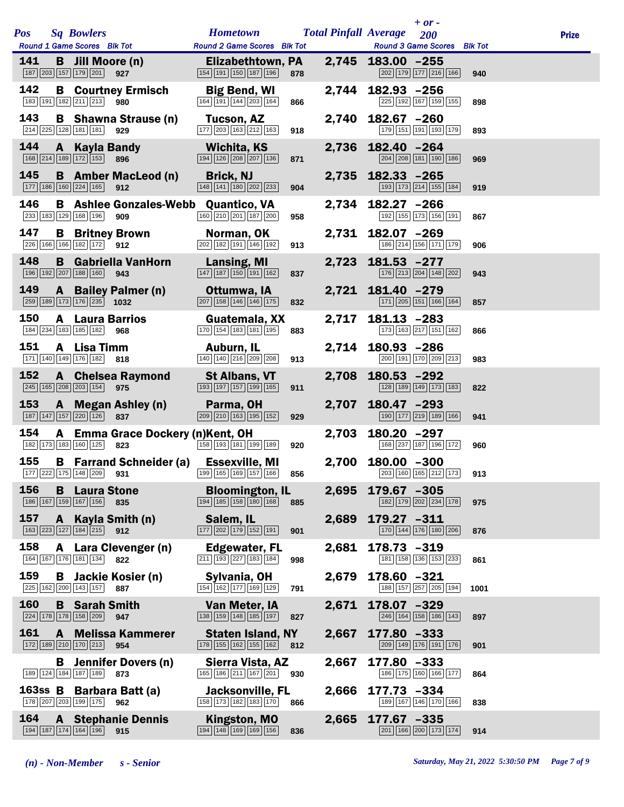|            |              |                                                                                        |                                                   |                                                                         |     |       | $+$ or $-$                                                             |      |              |
|------------|--------------|----------------------------------------------------------------------------------------|---------------------------------------------------|-------------------------------------------------------------------------|-----|-------|------------------------------------------------------------------------|------|--------------|
| <b>Pos</b> |              | <b>Sq Bowlers</b><br>Round 1 Game Scores Blk Tot                                       |                                                   | <b>Hometown</b><br><b>Round 2 Game Scores</b> Blk Tot                   |     |       | <b>Total Pinfall Average</b> 200<br><b>Round 3 Game Scores</b> Blk Tot |      | <b>Prize</b> |
| 141        |              | <b>B</b> Jill Moore (n)<br>187 203 157 179 201                                         | 927                                               | Elizabethtown, PA<br>154 191 150 187 196                                | 878 |       | 2,745 183.00 -255<br>202 179 177 216 166                               | 940  |              |
| 142        |              | 183 191 182 211 213                                                                    | <b>B</b> Courtney Ermisch<br>980                  | <b>Big Bend, WI</b><br>164 191 144 203 164                              | 866 |       | 2,744 182.93 -256<br>225 192 167 159 155                               | 898  |              |
| 143        |              | 214 225 128 181 181                                                                    | <b>B</b> Shawna Strause (n)<br>929                | <b>Tucson, AZ</b><br>177 203 163 212 163                                | 918 |       | 2,740 182.67 -260<br>179 151 191 193 179                               | 893  |              |
| 144        |              | A Kayla Bandy<br>168 214 189 172 153                                                   | 896                                               | Wichita, KS<br>194 126 208 207 136                                      | 871 |       | 2,736 182.40 -264<br>204 208 181 190 186                               | 969  |              |
| 145        |              | 177 186 160 224 165                                                                    | <b>B</b> Amber MacLeod (n)<br>912                 | <b>Brick, NJ</b><br>148 141 180 202 233                                 | 904 |       | 2,735 182.33 -265<br>193 173 214 155 184                               | 919  |              |
| 146        |              | 233 183 129 168 196                                                                    | <b>B</b> Ashlee Gonzales-Webb Quantico, VA<br>909 | 160 210 201 187 200                                                     | 958 |       | 2,734 182.27 -266<br>192 155 173 156 191                               | 867  |              |
| 147        |              | 226 166 166 182 172 912                                                                | <b>B</b> Britney Brown                            | Norman, OK<br>202 182 191 146 192                                       | 913 |       | 2,731 182.07 -269<br>186 214 156 171 179                               | 906  |              |
| 148        |              | $\boxed{196}$ $\boxed{192}$ $\boxed{207}$ $\boxed{188}$ $\boxed{160}$                  | <b>B</b> Gabriella VanHorn<br>943                 | <b>Lansing, MI</b><br>147 187 150 191 162                               | 837 | 2,723 | $181.53 - 277$<br>176 213 204 148 202                                  | 943  |              |
| 149        |              | 259 189 173 176 235 1032                                                               | A Bailey Palmer (n)                               | Ottumwa, IA<br>207 158 146 146 175                                      | 832 |       | 2,721 181.40 -279<br>171 205 151 166 164                               | 857  |              |
| 150        | A            | 184 234 183 185 182                                                                    | <b>Laura Barrios</b><br>968                       | Guatemala, XX<br>170 154 183 181 195                                    | 883 | 2,717 | $181.13 - 283$<br>173 163 217 151 162                                  | 866  |              |
| 151        | A            | Lisa Timm<br>$\boxed{171}$ $\boxed{140}$ $\boxed{149}$ $\boxed{176}$ $\boxed{182}$ 818 |                                                   | Auburn, IL<br>140 140 216 209 208                                       | 913 |       | 2,714 180.93 -286<br>200 191 170 209 213                               | 983  |              |
| 152        |              | 245 165 208 203 154 975                                                                | <b>A</b> Chelsea Raymond                          | <b>St Albans, VT</b><br>193 197 157 199 165                             | 911 | 2,708 | $180.53 - 292$<br>128 189 149 173 183                                  | 822  |              |
| 153        |              | 187 147 157 220 126                                                                    | A Megan Ashley (n)<br>837                         | Parma, OH<br>209 210 163 195 152                                        | 929 | 2,707 | $180.47 - 293$<br>190 177 219 189 166                                  | 941  |              |
| 154        | $\mathbf{A}$ | 182 173 183 160 125                                                                    | <b>Emma Grace Dockery (n)Kent, OH</b><br>823      | 158 193 181 199 189                                                     | 920 | 2,703 | $180.20 - 297$<br>168 237 187 196 172                                  | 960  |              |
| 155        |              |                                                                                        | <b>B</b> Farrand Schneider (a) Essexville, MI     | $\boxed{177}$ 222 175 148 209 <b>931</b> 199 165 169 157 166 <b>856</b> |     |       | 2,700 180.00 -300<br>203 160 165 212 173 913                           |      |              |
| 156        | B            | <b>Laura Stone</b><br>186 167 159 167 156                                              | 835                                               | <b>Bloomington, IL</b><br>194 185 158 180 168                           | 885 | 2,695 | 179.67 -305<br>182 179 202 234 178                                     | 975  |              |
| 157        | $\mathbf{A}$ | 163 223 127 184 215                                                                    | Kayla Smith (n)<br>912                            | Salem, IL<br>177 202 179 152 191                                        | 901 | 2,689 | 179.27 -311<br>170 144 176 180 206                                     | 876  |              |
| 158        |              | 164 167 176 181 134 822                                                                | A Lara Clevenger (n)                              | Edgewater, FL<br>211 193 227 183 184                                    | 998 | 2,681 | $178.73 - 319$<br>181   158   136   153   233                          | 861  |              |
| 159        |              | 225 162 200 143 157                                                                    | <b>B</b> Jackie Kosier (n)<br>887                 | Sylvania, OH<br>154 162 177 169 129                                     | 791 | 2,679 | 178.60 -321<br>188 157 257 205 194                                     | 1001 |              |
| 160        |              | <b>B</b> Sarah Smith<br>224 178 178 158 209                                            | 947                                               | Van Meter, IA<br>138 159 148 185 197                                    | 827 | 2,671 | 178.07 -329<br>246 164 158 186 143                                     | 897  |              |
| 161        | A            | 172 189 210 170 213                                                                    | <b>Melissa Kammerer</b><br>954                    | <b>Staten Island, NY</b><br>178 155 162 155 162                         | 812 | 2,667 | 177.80 -333<br>209 149 176 191 176                                     | 901  |              |
|            | B.           | 189 124 184 187 189                                                                    | <b>Jennifer Dovers (n)</b><br>873                 | Sierra Vista, AZ<br>165 186 211 167 201                                 | 930 | 2,667 | 177.80 -333<br>186 175 160 166 177                                     | 864  |              |
| $163ss$ B  |              | 178 207 203 199 175                                                                    | <b>Barbara Batt (a)</b><br>962                    | Jacksonville, FL<br>158 173 182 183 170                                 | 866 | 2,666 | 177.73 -334<br>189 167 146 170 166                                     | 838  |              |
| 164        | $\mathbf{A}$ | 194 187 174 164 196                                                                    | <b>Stephanie Dennis</b><br>915                    | Kingston, MO<br>194 148 169 169 156                                     | 836 | 2,665 | 177.67 -335<br>201 166 200 173 174                                     | 914  |              |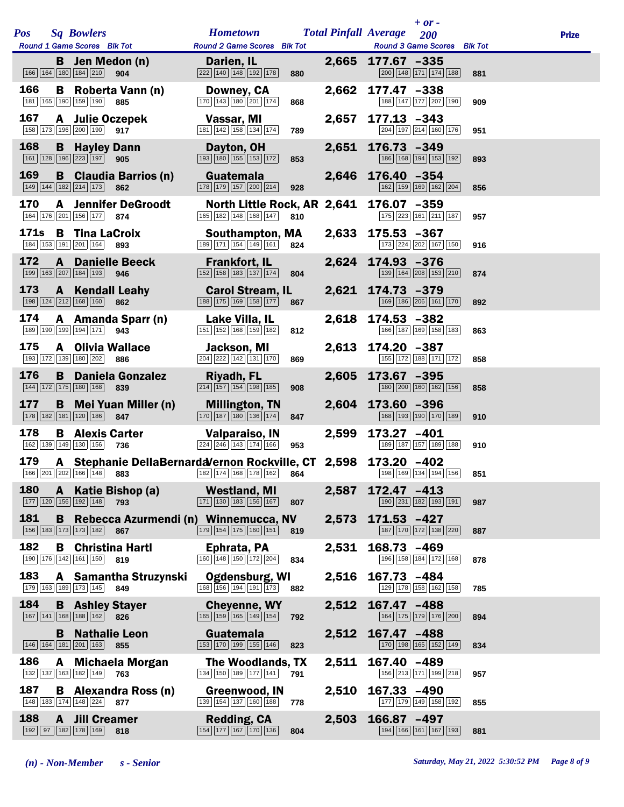|             |              |                                                   |                                     |                                                                                                                    |     |       | $+$ or $-$                                                     |     |              |
|-------------|--------------|---------------------------------------------------|-------------------------------------|--------------------------------------------------------------------------------------------------------------------|-----|-------|----------------------------------------------------------------|-----|--------------|
| <b>Pos</b>  |              | <b>Sq Bowlers</b>                                 |                                     | <b>Hometown</b>                                                                                                    |     |       | <b>Total Pinfall Average</b> 200                               |     | <b>Prize</b> |
|             |              | Round 1 Game Scores Blk Tot                       |                                     | Round 2 Game Scores Blk Tot                                                                                        |     |       | Round 3 Game Scores Blk Tot                                    |     |              |
|             |              | <b>B</b> Jen Medon (n)<br>166 164 180 184 210     | 904                                 | Darien, IL<br>$\boxed{222}$ $\boxed{140}$ $\boxed{148}$ $\boxed{192}$ $\boxed{178}$                                | 880 |       | 2,665 177.67 -335<br>200 148 171 174 188                       | 881 |              |
| 166         |              | 181 165 190 159 190 885                           | <b>B</b> Roberta Vann (n)           | Downey, CA<br>$\boxed{170}$ $\boxed{143}$ $\boxed{180}$ $\boxed{201}$ $\boxed{174}$                                | 868 | 2,662 | 177.47 -338<br>188 147 177 207 190                             | 909 |              |
| 167         |              | A Julie Oczepek<br>158 173 196 200 190 917        |                                     | Vassar, MI<br>181 142 158 134 174                                                                                  | 789 | 2,657 | $177.13 - 343$<br>204 197 214 160 176                          | 951 |              |
| 168         | B            | <b>Hayley Dann</b><br>161 128 196 223 197         | 905                                 | Dayton, OH<br>193 180 155 153 172                                                                                  | 853 | 2,651 | $176.73 - 349$<br>186 168 194 153 192                          | 893 |              |
| 169         |              | 149 144 182 214 173                               | <b>B</b> Claudia Barrios (n)<br>862 | Guatemala<br>178 179 157 200 214                                                                                   | 928 |       | 2,646 176.40 -354<br>162 159 169 162 204                       | 856 |              |
| 170         |              | 164 176 201 156 177 874                           | <b>A</b> Jennifer DeGroodt          | 165 182 148 168 147                                                                                                | 810 |       | North Little Rock, AR 2,641 176.07 -359<br>175 223 161 211 187 | 957 |              |
| <b>171s</b> |              | <b>B</b> Tina LaCroix<br>184 153 191 201 164 893  |                                     | Southampton, MA<br>189 171 154 149 161                                                                             | 824 |       | 2,633 175.53 -367<br>173 224 202 167 150                       | 916 |              |
| 172         | $\mathbf{A}$ | 199 163 207 184 193 946                           | <b>Danielle Beeck</b>               | <b>Frankfort, IL</b><br>152 158 183 137 174                                                                        | 804 | 2,624 | 174.93 -376<br>139 164 208 153 210                             | 874 |              |
| 173         | $\mathbf{A}$ | 198 124 212 168 160                               | <b>Kendall Leahy</b><br>862         | <b>Carol Stream, IL</b><br>188 175 169 158 177                                                                     | 867 |       | 2,621 174.73 -379<br>169 186 206 161 170                       | 892 |              |
| 174         |              | 189 190 199 194 171 943                           | A Amanda Sparr (n)                  | Lake Villa, IL<br>$\boxed{151}$ $\boxed{152}$ $\boxed{168}$ $\boxed{159}$ $\boxed{182}$                            | 812 | 2,618 | $174.53 - 382$<br>166 187 169 158 183                          | 863 |              |
| 175         |              | <b>A</b> Olivia Wallace<br>193 172 139 180 202    | 886                                 | Jackson, MI<br>204 222 142 131 170                                                                                 | 869 |       | 2,613 174.20 -387<br>155 172 188 171 172                       | 858 |              |
| 176         | B            | 144 172 175 180 168                               | <b>Daniela Gonzalez</b><br>839      | <b>Riyadh, FL</b><br>214 157 154 198 185                                                                           | 908 |       | 2,605 173.67 -395<br>180 200 160 162 156                       | 858 |              |
| 177         | B            | 178 182 181 120 186                               | <b>Mei Yuan Miller (n)</b><br>847   | <b>Millington, TN</b><br>170 187 180 136 174                                                                       | 847 | 2,604 | 173.60 -396<br>168 193 190 170 189                             | 910 |              |
| 178         |              | <b>B</b> Alexis Carter<br>162 139 149 130 156 736 |                                     | Valparaiso, IN<br>224 246 143 174 166                                                                              | 953 | 2,599 | 173.27 -401<br>189 187 157 189 188                             | 910 |              |
| 179         |              |                                                   |                                     | A Stephanie DellaBernardaVernon Rockville, CT 2,598 173.20 -402<br>166 201 202 166 148 883 182 174 168 178 162 864 |     |       | 198 169 134 194 156                                            | 851 |              |
| 180         | $\mathbf{A}$ | 177 120 156 192 148                               | Katie Bishop (a)<br>793             | <b>Westland, MI</b><br>$\boxed{171}$ $\boxed{130}$ $\boxed{183}$ $\boxed{156}$ $\boxed{167}$                       | 807 | 2,587 | $172.47 - 413$<br>190 231 182 193 191                          | 987 |              |
| 181         | B            | 156 183 173 173 182 867                           |                                     | Rebecca Azurmendi (n) Winnemucca, NV<br>179 154 175 160 151                                                        | 819 | 2,573 | $171.53 - 427$<br>187 170 172 138 220                          | 887 |              |
| 182         | B            | <b>Christina Hartl</b><br>190 176 142 161 150     | 819                                 | Ephrata, PA<br>160 148 150 172 204                                                                                 | 834 | 2,531 | 168.73 -469<br>196 158 184 172 168                             | 878 |              |
| 183         |              | 179 163 189 173 145                               | A Samantha Struzynski<br>849        | <b>Ogdensburg, WI</b><br>$\boxed{168}$ $\boxed{156}$ $\boxed{194}$ $\boxed{191}$ $\boxed{173}$                     | 882 | 2,516 | 167.73 -484<br>129 178 158 162 158                             | 785 |              |
| 184         |              | <b>B</b> Ashley Stayer<br>167 141 168 188 162 826 |                                     | <b>Cheyenne, WY</b><br>$\boxed{165}$ $\boxed{159}$ $\boxed{165}$ $\boxed{149}$ $\boxed{154}$                       | 792 | 2,512 | 167.47 -488<br>164 175 179 176 200                             | 894 |              |
|             | B.           | <b>Nathalie Leon</b><br>146 164 181 201 163       | 855                                 | Guatemala<br>153 170 199 155 146                                                                                   | 823 | 2,512 | 167.47 -488<br>170 198 165 152 149                             | 834 |              |
| 186         |              | 132 137 163 182 149                               | A Michaela Morgan<br>763            | The Woodlands, TX<br>134 150 189 177 141                                                                           | 791 | 2,511 | 167.40 -489<br>156 213 171 199 218                             | 957 |              |
| 187         |              | 148 183 174 148 224                               | <b>B</b> Alexandra Ross (n)<br>877  | Greenwood, IN<br>139 154 137 160 188                                                                               | 778 | 2,510 | $167.33 - 490$<br>177 179 149 158 192                          | 855 |              |
| 188         | $\mathbf{A}$ | <b>Jill Creamer</b><br>192 97 182 178 169         | 818                                 | Redding, CA<br>154 177 167 170 136                                                                                 | 804 | 2,503 | 166.87 -497<br>194 166 161 167 193                             | 881 |              |